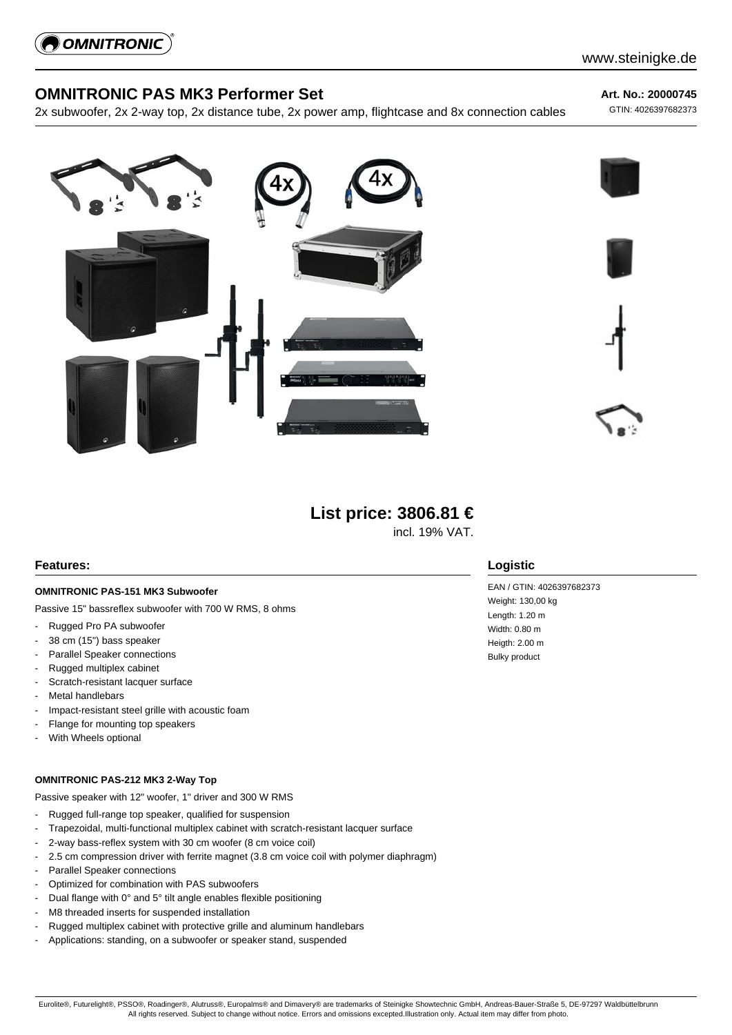

# **OMNITRONIC PAS MK3 Performer Set**

2x subwoofer, 2x 2-way top, 2x distance tube, 2x power amp, flightcase and 8x connection cables

**Art. No.: 20000745**

GTIN: 4026397682373



# **List price: 3806.81 €**

incl. 19% VAT.

### **Features:**

### **OMNITRONIC PAS-151 MK3 Subwoofer**

Passive 15" bassreflex subwoofer with 700 W RMS, 8 ohms

- Rugged Pro PA subwoofer
- 38 cm (15") bass speaker
- Parallel Speaker connections
- Rugged multiplex cabinet
- Scratch-resistant lacquer surface
- Metal handlebars
- Impact-resistant steel grille with acoustic foam
- Flange for mounting top speakers
- With Wheels optional

#### **OMNITRONIC PAS-212 MK3 2-Way Top**

Passive speaker with 12" woofer, 1" driver and 300 W RMS

- Rugged full-range top speaker, qualified for suspension
- Trapezoidal, multi-functional multiplex cabinet with scratch-resistant lacquer surface
- 2-way bass-reflex system with 30 cm woofer (8 cm voice coil)
- 2.5 cm compression driver with ferrite magnet (3.8 cm voice coil with polymer diaphragm)
- Parallel Speaker connections
- Optimized for combination with PAS subwoofers
- Dual flange with 0° and 5° tilt angle enables flexible positioning
- M8 threaded inserts for suspended installation
- Rugged multiplex cabinet with protective grille and aluminum handlebars
- Applications: standing, on a subwoofer or speaker stand, suspended

### **Logistic**

EAN / GTIN: 4026397682373 Weight: 130,00 kg Length: 1.20 m Width: 0.80 m Heigth: 2.00 m Bulky product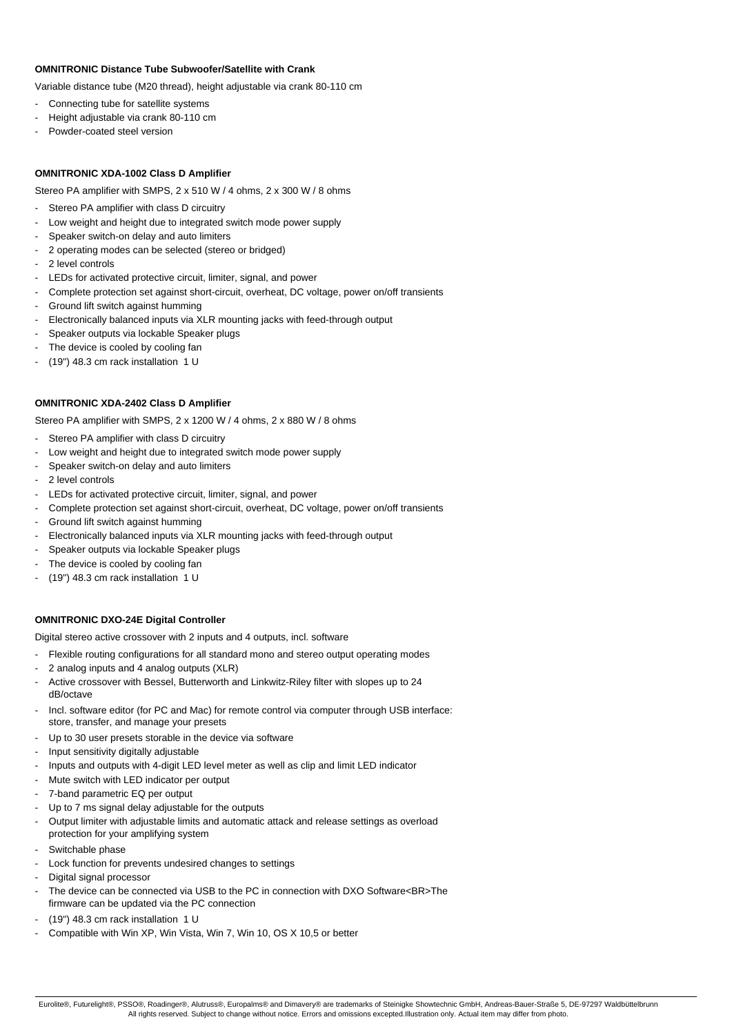#### **OMNITRONIC Distance Tube Subwoofer/Satellite with Crank**

Variable distance tube (M20 thread), height adjustable via crank 80-110 cm

- Connecting tube for satellite systems
- Height adjustable via crank 80-110 cm
- Powder-coated steel version

#### **OMNITRONIC XDA-1002 Class D Amplifier**

Stereo PA amplifier with SMPS, 2 x 510 W / 4 ohms, 2 x 300 W / 8 ohms

- Stereo PA amplifier with class D circuitry
- Low weight and height due to integrated switch mode power supply
- Speaker switch-on delay and auto limiters
- 2 operating modes can be selected (stereo or bridged)
- 2 level controls
- LEDs for activated protective circuit, limiter, signal, and power
- Complete protection set against short-circuit, overheat, DC voltage, power on/off transients
- Ground lift switch against humming
- Electronically balanced inputs via XLR mounting jacks with feed-through output
- Speaker outputs via lockable Speaker plugs
- The device is cooled by cooling fan
- (19") 48.3 cm rack installation 1 U

#### **OMNITRONIC XDA-2402 Class D Amplifier**

Stereo PA amplifier with SMPS, 2 x 1200 W / 4 ohms, 2 x 880 W / 8 ohms

- Stereo PA amplifier with class D circuitry
- Low weight and height due to integrated switch mode power supply
- Speaker switch-on delay and auto limiters
- 2 level controls
- LEDs for activated protective circuit, limiter, signal, and power
- Complete protection set against short-circuit, overheat, DC voltage, power on/off transients
- Ground lift switch against humming
- Electronically balanced inputs via XLR mounting jacks with feed-through output
- Speaker outputs via lockable Speaker plugs
- The device is cooled by cooling fan
- (19") 48.3 cm rack installation 1 U

#### **OMNITRONIC DXO-24E Digital Controller**

Digital stereo active crossover with 2 inputs and 4 outputs, incl. software

- Flexible routing configurations for all standard mono and stereo output operating modes
- 2 analog inputs and 4 analog outputs (XLR)
- Active crossover with Bessel, Butterworth and Linkwitz-Riley filter with slopes up to 24 dB/octave
- Incl. software editor (for PC and Mac) for remote control via computer through USB interface: store, transfer, and manage your presets
- Up to 30 user presets storable in the device via software
- Input sensitivity digitally adjustable
- Inputs and outputs with 4-digit LED level meter as well as clip and limit LED indicator
- Mute switch with LED indicator per output
- 7-band parametric EQ per output
- Up to 7 ms signal delay adjustable for the outputs
- Output limiter with adjustable limits and automatic attack and release settings as overload protection for your amplifying system
- Switchable phase
- Lock function for prevents undesired changes to settings
- Digital signal processor
- The device can be connected via USB to the PC in connection with DXO Software<BR>The
- firmware can be updated via the PC connection
- (19") 48.3 cm rack installation 1 U
- Compatible with Win XP, Win Vista, Win 7, Win 10, OS X 10,5 or better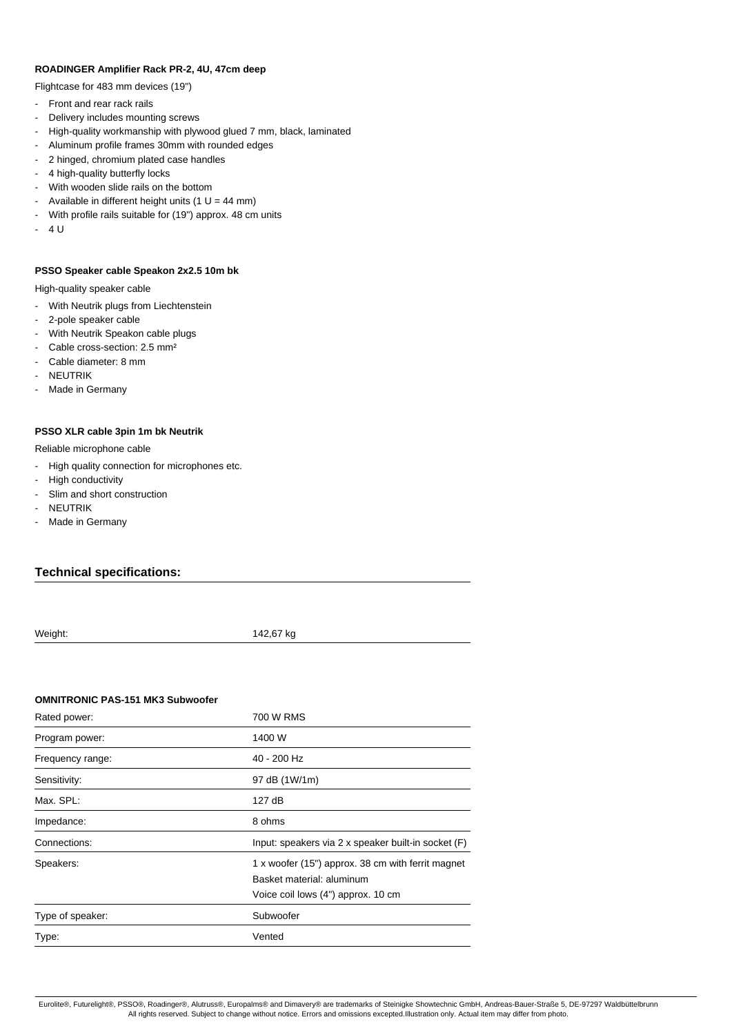#### **ROADINGER Amplifier Rack PR-2, 4U, 47cm deep**

Flightcase for 483 mm devices (19")

- Front and rear rack rails
- Delivery includes mounting screws
- High-quality workmanship with plywood glued 7 mm, black, laminated
- Aluminum profile frames 30mm with rounded edges
- 2 hinged, chromium plated case handles
- 4 high-quality butterfly locks
- With wooden slide rails on the bottom
- Available in different height units (1  $U = 44$  mm)
- With profile rails suitable for (19") approx. 48 cm units
- $-411$

#### **PSSO Speaker cable Speakon 2x2.5 10m bk**

High-quality speaker cable

- With Neutrik plugs from Liechtenstein
- 2-pole speaker cable
- With Neutrik Speakon cable plugs
- Cable cross-section: 2.5 mm<sup>2</sup>
- Cable diameter: 8 mm
- **NEUTRIK**
- Made in Germany

#### **PSSO XLR cable 3pin 1m bk Neutrik**

Reliable microphone cable

- High quality connection for microphones etc.
- High conductivity
- Slim and short construction
- **NEUTRIK**
- Made in Germany

### **Technical specifications:**

Weight: 142,67 kg

#### **OMNITRONIC PAS-151 MK3 Subwoofer**

| Rated power:     | 700 W RMS                                                                                                            |
|------------------|----------------------------------------------------------------------------------------------------------------------|
| Program power:   | 1400 W                                                                                                               |
| Frequency range: | 40 - 200 Hz                                                                                                          |
| Sensitivity:     | 97 dB (1W/1m)                                                                                                        |
| Max. SPL:        | 127 dB                                                                                                               |
| Impedance:       | 8 ohms                                                                                                               |
| Connections:     | Input: speakers via 2 x speaker built-in socket (F)                                                                  |
| Speakers:        | 1 x woofer (15") approx. 38 cm with ferrit magnet<br>Basket material: aluminum<br>Voice coil lows (4") approx. 10 cm |
| Type of speaker: | Subwoofer                                                                                                            |
| Type:            | Vented                                                                                                               |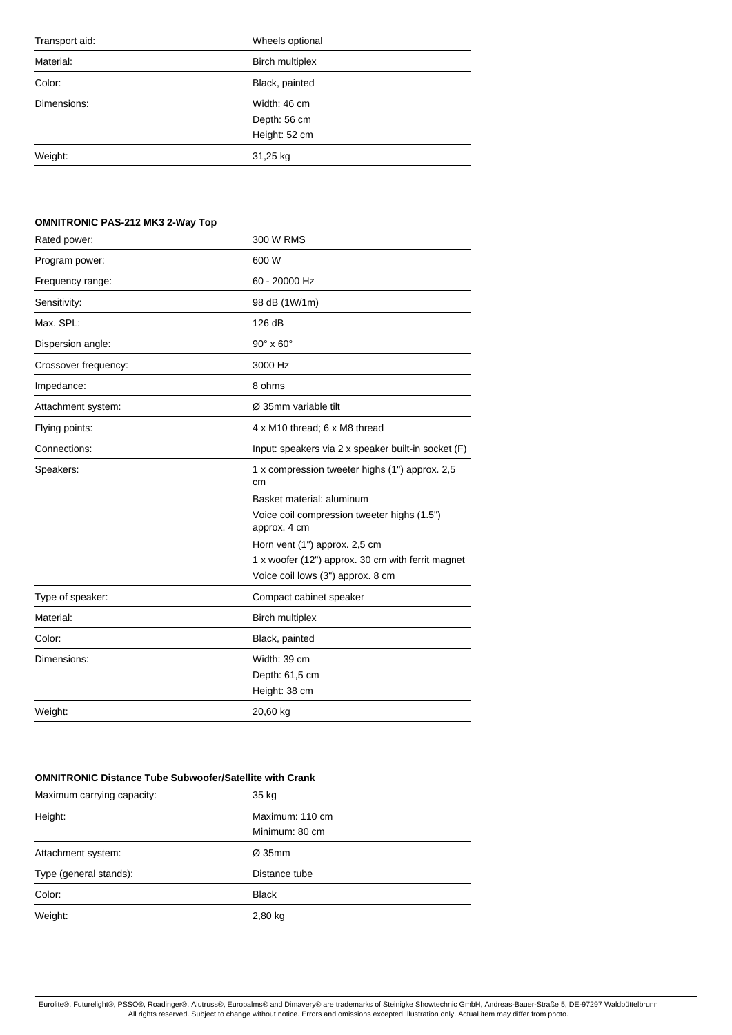| Transport aid: | Wheels optional        |
|----------------|------------------------|
| Material:      | <b>Birch multiplex</b> |
| Color:         | Black, painted         |
| Dimensions:    | Width: 46 cm           |
|                | Depth: 56 cm           |
|                | Height: 52 cm          |
| Weight:        | 31,25 kg               |
|                |                        |

# **OMNITRONIC PAS-212 MK3 2-Way Top**

| 300 W RMS                                                   |
|-------------------------------------------------------------|
| 600 W                                                       |
| 60 - 20000 Hz                                               |
| 98 dB (1W/1m)                                               |
| 126 dB                                                      |
| $90^\circ \times 60^\circ$                                  |
| 3000 Hz                                                     |
| 8 ohms                                                      |
| Ø 35mm variable tilt                                        |
| 4 x M10 thread; 6 x M8 thread                               |
| Input: speakers via 2 x speaker built-in socket (F)         |
| 1 x compression tweeter highs (1") approx. 2,5<br>cm        |
| Basket material: aluminum                                   |
| Voice coil compression tweeter highs (1.5")<br>approx. 4 cm |
| Horn vent (1") approx. 2,5 cm                               |
| 1 x woofer (12") approx. 30 cm with ferrit magnet           |
| Voice coil lows (3") approx. 8 cm                           |
| Compact cabinet speaker                                     |
| <b>Birch multiplex</b>                                      |
| Black, painted                                              |
| Width: 39 cm                                                |
| Depth: 61,5 cm                                              |
| Height: 38 cm                                               |
| 20,60 kg                                                    |
|                                                             |

### **OMNITRONIC Distance Tube Subwoofer/Satellite with Crank**

| Maximum carrying capacity: | 35 kg              |  |
|----------------------------|--------------------|--|
| Height:                    | Maximum: 110 cm    |  |
|                            | Minimum: 80 cm     |  |
| Attachment system:         | $\varnothing$ 35mm |  |
| Type (general stands):     | Distance tube      |  |
| Color:                     | <b>Black</b>       |  |
| Weight:                    | $2,80$ kg          |  |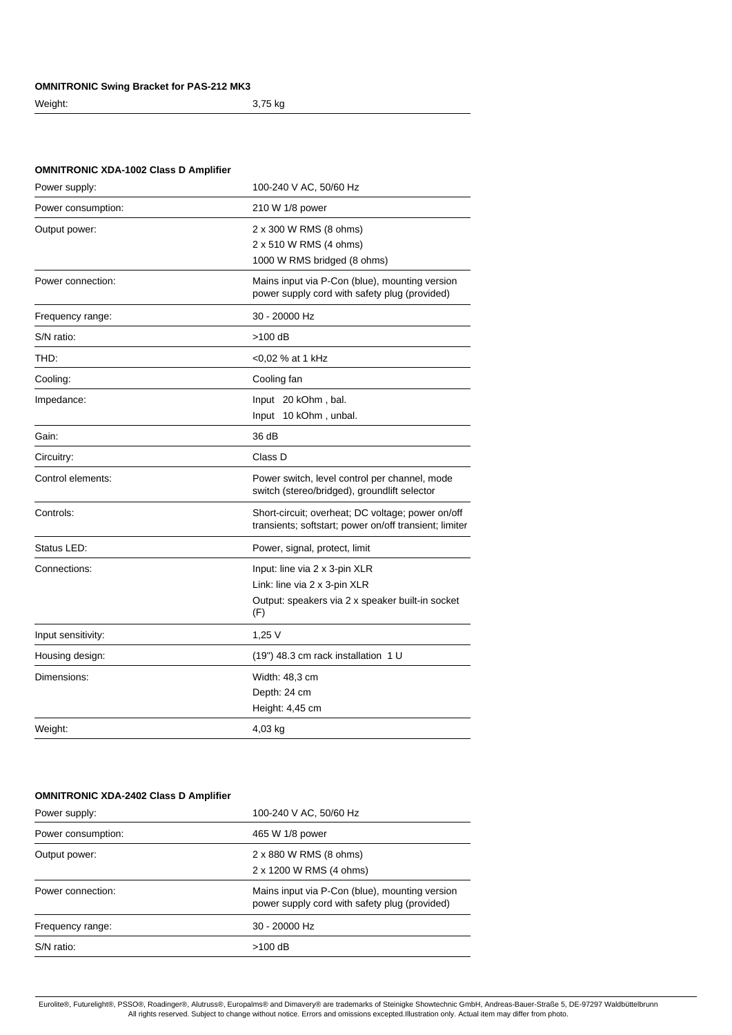### **OMNITRONIC Swing Bracket for PAS-212 MK3**

```
Weight: 3,75 kg
```
# **OMNITRONIC XDA-1002 Class D Amplifier**

| 100-240 V AC, 50/60 Hz                                                                                                   |
|--------------------------------------------------------------------------------------------------------------------------|
| 210 W 1/8 power                                                                                                          |
| 2 x 300 W RMS (8 ohms)<br>2 x 510 W RMS (4 ohms)<br>1000 W RMS bridged (8 ohms)                                          |
| Mains input via P-Con (blue), mounting version<br>power supply cord with safety plug (provided)                          |
| 30 - 20000 Hz                                                                                                            |
| $>100$ dB                                                                                                                |
| <0,02 % at 1 kHz                                                                                                         |
| Cooling fan                                                                                                              |
| Input 20 kOhm, bal.<br>Input 10 kOhm, unbal.                                                                             |
| 36 dB                                                                                                                    |
| Class D                                                                                                                  |
| Power switch, level control per channel, mode<br>switch (stereo/bridged), groundlift selector                            |
| Short-circuit; overheat; DC voltage; power on/off<br>transients; softstart; power on/off transient; limiter              |
| Power, signal, protect, limit                                                                                            |
| Input: line via 2 x 3-pin XLR<br>Link: line via 2 x 3-pin XLR<br>Output: speakers via 2 x speaker built-in socket<br>(F) |
| 1,25V                                                                                                                    |
| (19") 48.3 cm rack installation 1 U                                                                                      |
| Width: 48,3 cm<br>Depth: 24 cm<br>Height: 4,45 cm                                                                        |
| 4,03 kg                                                                                                                  |
|                                                                                                                          |

### **OMNITRONIC XDA-2402 Class D Amplifier**

| Power supply:      | 100-240 V AC, 50/60 Hz                                                                          |
|--------------------|-------------------------------------------------------------------------------------------------|
| Power consumption: | 465 W 1/8 power                                                                                 |
| Output power:      | 2 x 880 W RMS (8 ohms)<br>2 x 1200 W RMS (4 ohms)                                               |
| Power connection:  | Mains input via P-Con (blue), mounting version<br>power supply cord with safety plug (provided) |
| Frequency range:   | $30 - 20000$ Hz                                                                                 |
| S/N ratio:         | $>100$ dB                                                                                       |
|                    |                                                                                                 |

Eurolite®, Futurelight®, PSSO®, Roadinger®, Alutruss®, Europalms® and Dimavery® are trademarks of Steinigke Showtechnic GmbH, Andreas-Bauer-Straße 5, DE-97297 Waldbüttelbrunn<br>All rights reserved. Subject to change without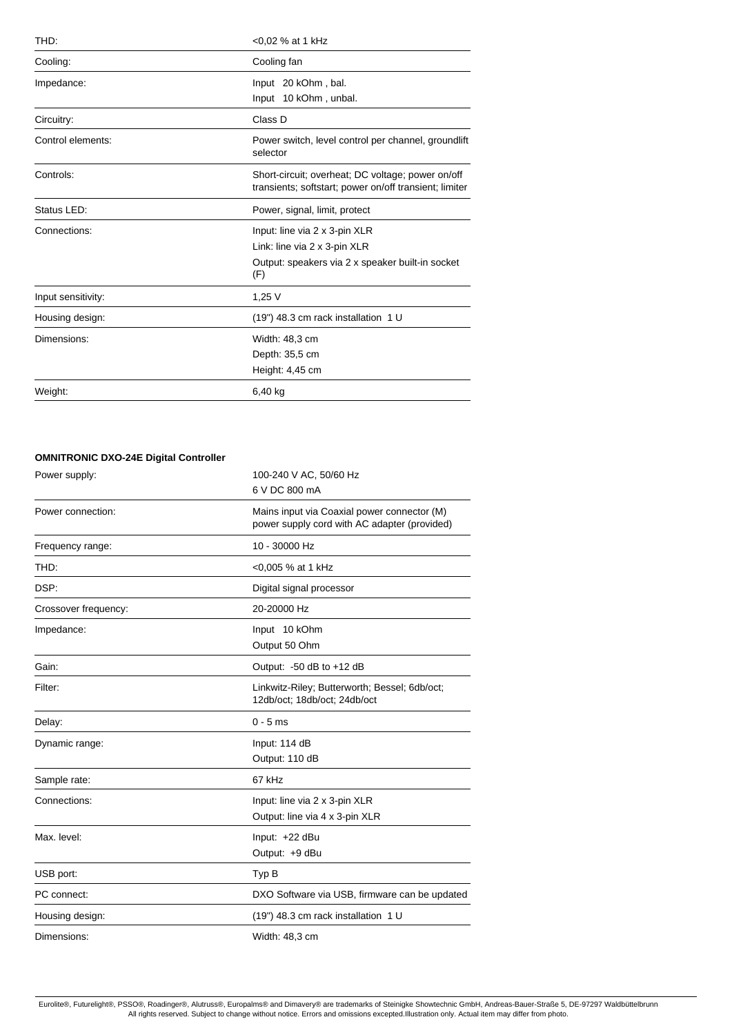| THD:               | <0,02 % at 1 kHz                                                                                            |
|--------------------|-------------------------------------------------------------------------------------------------------------|
| Cooling:           | Cooling fan                                                                                                 |
| Impedance:         | Input 20 kOhm, bal.                                                                                         |
|                    | Input 10 kOhm, unbal.                                                                                       |
| Circuitry:         | Class D                                                                                                     |
| Control elements:  | Power switch, level control per channel, groundlift<br>selector                                             |
| Controls:          | Short-circuit; overheat; DC voltage; power on/off<br>transients; softstart; power on/off transient; limiter |
| Status LED:        | Power, signal, limit, protect                                                                               |
| Connections:       | Input: line via 2 x 3-pin XLR                                                                               |
|                    | Link: line via 2 x 3-pin XLR                                                                                |
|                    | Output: speakers via 2 x speaker built-in socket<br>(F)                                                     |
| Input sensitivity: | 1,25V                                                                                                       |
| Housing design:    | (19") 48.3 cm rack installation 1 U                                                                         |
| Dimensions:        | Width: 48,3 cm                                                                                              |
|                    | Depth: 35,5 cm                                                                                              |
|                    | Height: 4,45 cm                                                                                             |
| Weight:            | 6,40 kg                                                                                                     |

# **OMNITRONIC DXO-24E Digital Controller**

| Power supply:        | 100-240 V AC, 50/60 Hz<br>6 V DC 800 mA                                                     |
|----------------------|---------------------------------------------------------------------------------------------|
| Power connection:    | Mains input via Coaxial power connector (M)<br>power supply cord with AC adapter (provided) |
| Frequency range:     | 10 - 30000 Hz                                                                               |
| THD:                 | <0,005 % at 1 kHz                                                                           |
| DSP:                 | Digital signal processor                                                                    |
| Crossover frequency: | 20-20000 Hz                                                                                 |
| Impedance:           | Input 10 kOhm<br>Output 50 Ohm                                                              |
| Gain:                | Output: $-50$ dB to $+12$ dB                                                                |
| Filter:              | Linkwitz-Riley; Butterworth; Bessel; 6db/oct;<br>12db/oct; 18db/oct; 24db/oct               |
| Delay:               | $0 - 5$ ms                                                                                  |
| Dynamic range:       | Input: 114 dB                                                                               |
|                      | Output: 110 dB                                                                              |
| Sample rate:         | 67 kHz                                                                                      |
| Connections:         | Input: line via 2 x 3-pin XLR                                                               |
|                      | Output: line via 4 x 3-pin XLR                                                              |
| Max. level:          | Input: +22 dBu                                                                              |
|                      | Output: +9 dBu                                                                              |
| USB port:            | Typ B                                                                                       |
| PC connect:          | DXO Software via USB, firmware can be updated                                               |
| Housing design:      | (19") 48.3 cm rack installation 1 U                                                         |
| Dimensions:          | Width: 48,3 cm                                                                              |